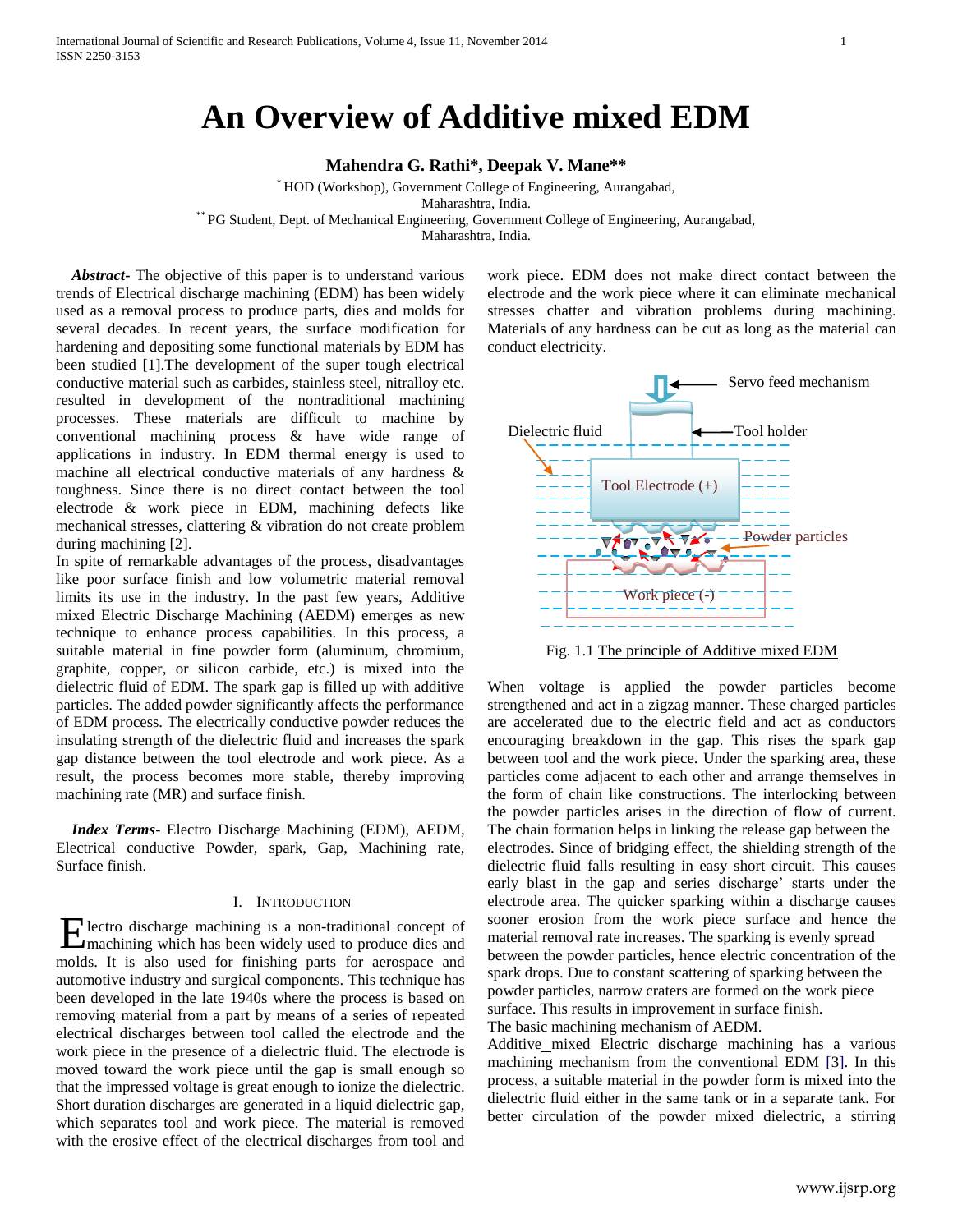# **An Overview of Additive mixed EDM**

**Mahendra G. Rathi\*, Deepak V. Mane\*\***

\* HOD (Workshop), Government College of Engineering, Aurangabad,

Maharashtra, India.

\*\* PG Student, Dept. of Mechanical Engineering, Government College of Engineering, Aurangabad,

Maharashtra, India.

 *Abstract***-** The objective of this paper is to understand various trends of Electrical discharge machining (EDM) has been widely used as a removal process to produce parts, dies and molds for several decades. In recent years, the surface modification for hardening and depositing some functional materials by EDM has been studied [1].The development of the super tough electrical conductive material such as carbides, stainless steel, nitralloy etc. resulted in development of the nontraditional machining processes. These materials are difficult to machine by conventional machining process & have wide range of applications in industry. In EDM thermal energy is used to machine all electrical conductive materials of any hardness & toughness. Since there is no direct contact between the tool electrode & work piece in EDM, machining defects like mechanical stresses, clattering & vibration do not create problem during machining [2].

In spite of remarkable advantages of the process, disadvantages like poor surface finish and low volumetric material removal limits its use in the industry. In the past few years, Additive mixed Electric Discharge Machining (AEDM) emerges as new technique to enhance process capabilities. In this process, a suitable material in fine powder form (aluminum, chromium, graphite, copper, or silicon carbide, etc.) is mixed into the dielectric fluid of EDM. The spark gap is filled up with additive particles. The added powder significantly affects the performance of EDM process. The electrically conductive powder reduces the insulating strength of the dielectric fluid and increases the spark gap distance between the tool electrode and work piece. As a result, the process becomes more stable, thereby improving machining rate (MR) and surface finish.

 *Index Terms*- Electro Discharge Machining (EDM), AEDM, Electrical conductive Powder, spark, Gap, Machining rate, Surface finish.

#### I. INTRODUCTION

lectro discharge machining is a non-traditional concept of Electro discharge machining is a non-traditional concept of machining which has been widely used to produce dies and molds. It is also used for finishing parts for aerospace and automotive industry and surgical components. This technique has been developed in the late 1940s where the process is based on removing material from a part by means of a series of repeated electrical discharges between tool called the electrode and the work piece in the presence of a dielectric fluid. The electrode is moved toward the work piece until the gap is small enough so that the impressed voltage is great enough to ionize the dielectric. Short duration discharges are generated in a liquid dielectric gap, which separates tool and work piece. The material is removed with the erosive effect of the electrical discharges from tool and

work piece. EDM does not make direct contact between the electrode and the work piece where it can eliminate mechanical stresses chatter and vibration problems during machining. Materials of any hardness can be cut as long as the material can conduct electricity.



Fig. 1.1 The principle of Additive mixed EDM

When voltage is applied the powder particles become strengthened and act in a zigzag manner. These charged particles are accelerated due to the electric field and act as conductors encouraging breakdown in the gap. This rises the spark gap between tool and the work piece. Under the sparking area, these particles come adjacent to each other and arrange themselves in the form of chain like constructions. The interlocking between the powder particles arises in the direction of flow of current. The chain formation helps in linking the release gap between the electrodes. Since of bridging effect, the shielding strength of the dielectric fluid falls resulting in easy short circuit. This causes early blast in the gap and series discharge' starts under the electrode area. The quicker sparking within a discharge causes sooner erosion from the work piece surface and hence the material removal rate increases. The sparking is evenly spread between the powder particles, hence electric concentration of the spark drops. Due to constant scattering of sparking between the powder particles, narrow craters are formed on the work piece surface. This results in improvement in surface finish. The basic machining mechanism of AEDM.

Additive mixed Electric discharge machining has a various machining mechanism from the conventional EDM [3]. In this process, a suitable material in the powder form is mixed into the dielectric fluid either in the same tank or in a separate tank. For better circulation of the powder mixed dielectric, a stirring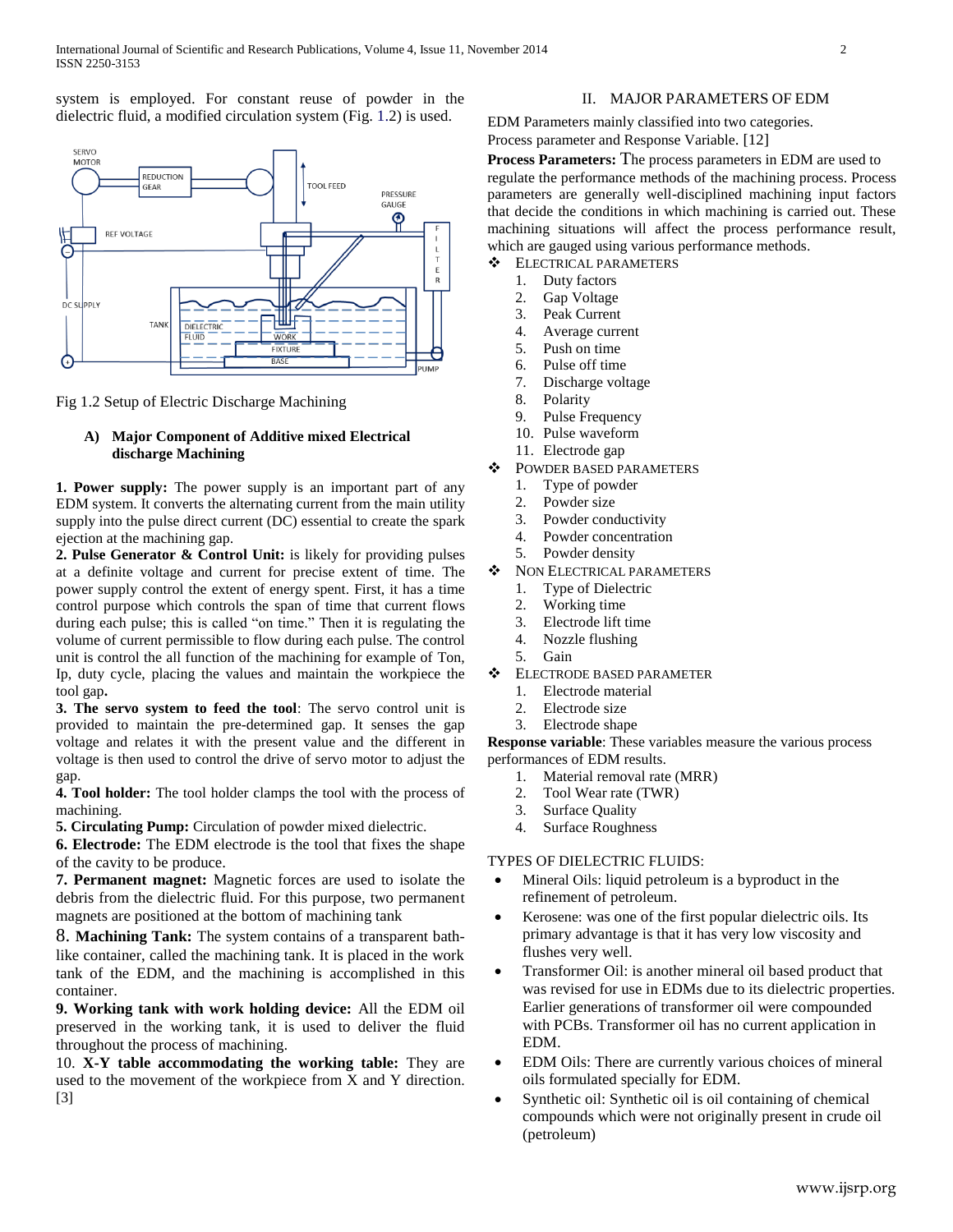system is employed. For constant reuse of powder in the dielectric fluid, a modified circulation system (Fig. 1.2) is used.



Fig 1.2 Setup of Electric Discharge Machining

## **A) Major Component of Additive mixed Electrical discharge Machining**

**1. Power supply:** The power supply is an important part of any EDM system. It converts the alternating current from the main utility supply into the pulse direct current (DC) essential to create the spark ejection at the machining gap.

**2. Pulse Generator & Control Unit:** is likely for providing pulses at a definite voltage and current for precise extent of time. The power supply control the extent of energy spent. First, it has a time control purpose which controls the span of time that current flows during each pulse; this is called "on time." Then it is regulating the volume of current permissible to flow during each pulse. The control unit is control the all function of the machining for example of Ton, Ip, duty cycle, placing the values and maintain the workpiece the tool gap**.**

**3. The servo system to feed the tool**: The servo control unit is provided to maintain the pre-determined gap. It senses the gap voltage and relates it with the present value and the different in voltage is then used to control the drive of servo motor to adjust the gap.

**4. Tool holder:** The tool holder clamps the tool with the process of machining.

**5. Circulating Pump:** Circulation of powder mixed dielectric.

**6. Electrode:** The EDM electrode is the tool that fixes the shape of the cavity to be produce.

**7. Permanent magnet:** Magnetic forces are used to isolate the debris from the dielectric fluid. For this purpose, two permanent magnets are positioned at the bottom of machining tank

8. **Machining Tank:** The system contains of a transparent bathlike container, called the machining tank. It is placed in the work tank of the EDM, and the machining is accomplished in this container.

**9. Working tank with work holding device:** All the EDM oil preserved in the working tank, it is used to deliver the fluid throughout the process of machining.

10. **X-Y table accommodating the working table:** They are used to the movement of the workpiece from X and Y direction. [3]

### II. MAJOR PARAMETERS OF EDM

EDM Parameters mainly classified into two categories. Process parameter and Response Variable. [12]

**Process Parameters:** The process parameters in EDM are used to regulate the performance methods of the machining process. Process parameters are generally well-disciplined machining input factors that decide the conditions in which machining is carried out. These machining situations will affect the process performance result, which are gauged using various performance methods.

- $\div$  ELECTRICAL PARAMETERS
	- 1. Duty factors
	- 2. Gap Voltage
	- 3. Peak Current
	- 4. Average current
	- 5. Push on time
	- 6. Pulse off time
	- 7. Discharge voltage
	- 8. Polarity
	- 9. Pulse Frequency
	- 10. Pulse waveform
	- 11. Electrode gap
- $\div$  POWDER BASED PARAMETERS
	- 1. Type of powder
	- 2. Powder size
	- 3. Powder conductivity
	- 4. Powder concentration
	- 5. Powder density
- $\bullet$  NON ELECTRICAL PARAMETERS
	- 1. Type of Dielectric
	- 2. Working time
	- 3. Electrode lift time
	- 4. Nozzle flushing
	- 5. Gain
- **ELECTRODE BASED PARAMETER** 
	- 1. Electrode material
	- 2. Electrode size
	- 3. Electrode shape

**Response variable**: These variables measure the various process performances of EDM results.

- 1. Material removal rate (MRR)
- 2. Tool Wear rate (TWR)
- 3. Surface Quality
- 4. Surface Roughness

#### TYPES OF DIELECTRIC FLUIDS:

- Mineral Oils: liquid petroleum is a byproduct in the refinement of petroleum.
- Kerosene: was one of the first popular dielectric oils. Its primary advantage is that it has very low viscosity and flushes very well.
- Transformer Oil: is another mineral oil based product that was revised for use in EDMs due to its dielectric properties. Earlier generations of transformer oil were compounded with PCBs. Transformer oil has no current application in EDM.
- EDM Oils: There are currently various choices of mineral oils formulated specially for EDM.
- Synthetic oil: Synthetic oil is oil containing of chemical compounds which were not originally present in crude oil (petroleum)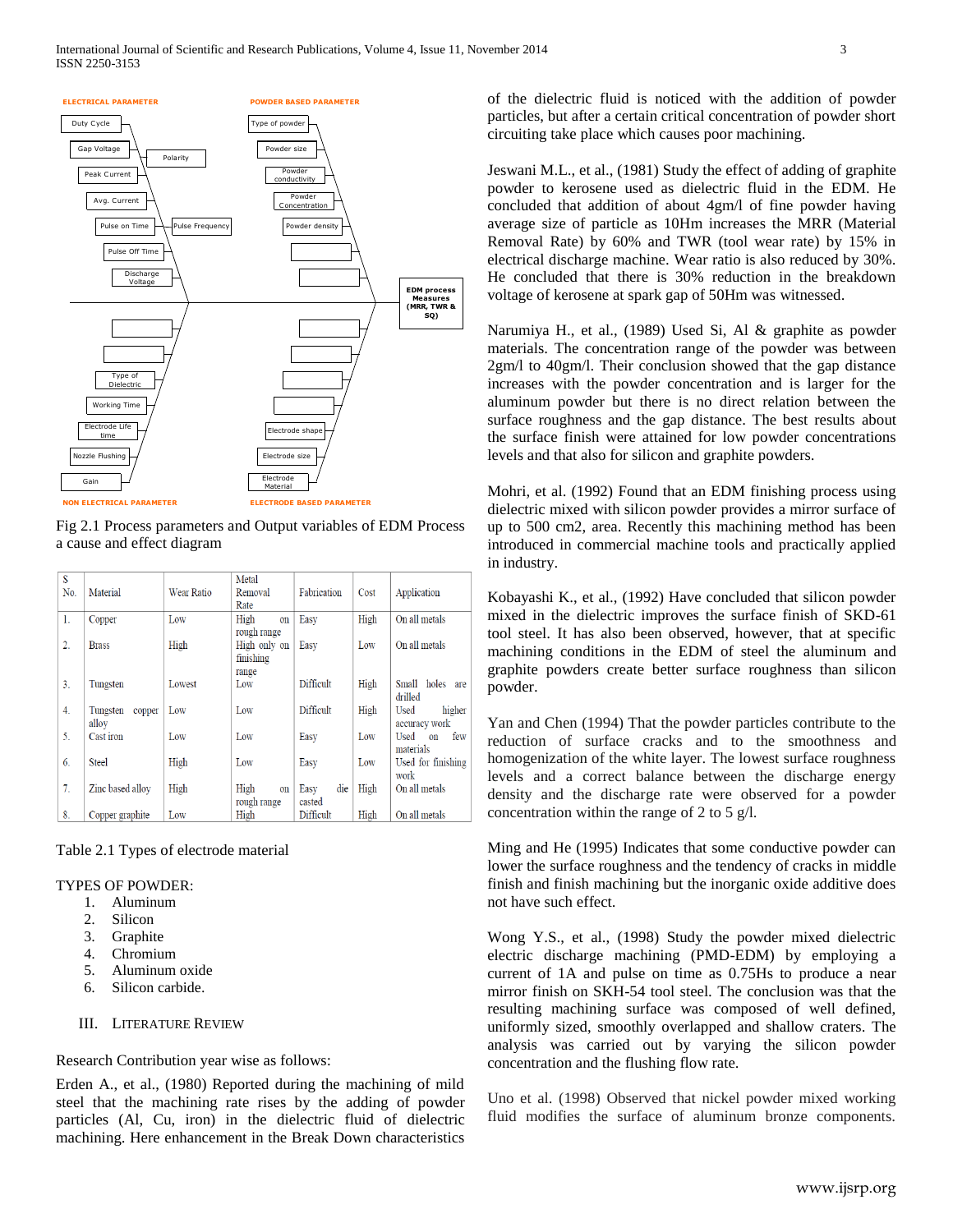

Fig 2.1 Process parameters and Output variables of EDM Process a cause and effect diagram

| S                |                    |            | Metal        |                  |      |                    |
|------------------|--------------------|------------|--------------|------------------|------|--------------------|
| No.              | Material           | Wear Ratio | Removal      | Fabrication      | Cost | Application        |
|                  |                    |            | Rate         |                  |      |                    |
| $\mathbf{1}$ .   | Copper             | Low        | High<br>on   | Easy             | High | On all metals      |
|                  |                    |            | rough range  |                  |      |                    |
| $\overline{2}$ . | <b>Brass</b>       | High       | High only on | Easy             | Low  | On all metals      |
|                  |                    |            | finishing    |                  |      |                    |
|                  |                    |            | range        |                  |      |                    |
| 3.               | Tungsten           | Lowest     | Low          | <b>Difficult</b> | High | Small holes are    |
|                  |                    |            |              |                  |      | drilled            |
| 4.               | Tungsten<br>copper | Low        | Low          | Difficult        | High | higher<br>Used     |
|                  | allov              |            |              |                  |      | accuracy work      |
| 5.               | Cast iron          | Low        | Low          | Easy             | Low  | Used<br>few<br>on  |
|                  |                    |            |              |                  |      | materials          |
| 6.               | <b>Steel</b>       | High       | Low          | Easy             | Low  | Used for finishing |
|                  |                    |            |              |                  |      | work               |
| 7.               | Zinc based allov   | High       | High<br>on   | die<br>Easy      | High | On all metals      |
|                  |                    |            | rough range  | casted           |      |                    |
| 8.               | Copper graphite    | Low        | High         | Difficult        | High | On all metals      |

Table 2.1 Types of electrode material

## TYPES OF POWDER:

- 1. Aluminum
- 2. Silicon
- 3. Graphite
- 4. Chromium
- 5. Aluminum oxide
- 6. Silicon carbide.
- III. LITERATURE REVIEW

Research Contribution year wise as follows:

Erden A., et al., (1980) Reported during the machining of mild steel that the machining rate rises by the adding of powder particles (Al, Cu, iron) in the dielectric fluid of dielectric machining. Here enhancement in the Break Down characteristics

of the dielectric fluid is noticed with the addition of powder particles, but after a certain critical concentration of powder short circuiting take place which causes poor machining.

Jeswani M.L., et al., (1981) Study the effect of adding of graphite powder to kerosene used as dielectric fluid in the EDM. He concluded that addition of about 4gm/l of fine powder having average size of particle as 10Hm increases the MRR (Material Removal Rate) by 60% and TWR (tool wear rate) by 15% in electrical discharge machine. Wear ratio is also reduced by 30%. He concluded that there is 30% reduction in the breakdown voltage of kerosene at spark gap of 50Hm was witnessed.

Narumiya H., et al., (1989) Used Si, Al & graphite as powder materials. The concentration range of the powder was between 2gm/l to 40gm/l. Their conclusion showed that the gap distance increases with the powder concentration and is larger for the aluminum powder but there is no direct relation between the surface roughness and the gap distance. The best results about the surface finish were attained for low powder concentrations levels and that also for silicon and graphite powders.

Mohri, et al. (1992) Found that an EDM finishing process using dielectric mixed with silicon powder provides a mirror surface of up to 500 cm2, area. Recently this machining method has been introduced in commercial machine tools and practically applied in industry.

Kobayashi K., et al., (1992) Have concluded that silicon powder mixed in the dielectric improves the surface finish of SKD-61 tool steel. It has also been observed, however, that at specific machining conditions in the EDM of steel the aluminum and graphite powders create better surface roughness than silicon powder.

Yan and Chen (1994) That the powder particles contribute to the reduction of surface cracks and to the smoothness and homogenization of the white layer. The lowest surface roughness levels and a correct balance between the discharge energy density and the discharge rate were observed for a powder concentration within the range of 2 to 5 g/l.

Ming and He (1995) Indicates that some conductive powder can lower the surface roughness and the tendency of cracks in middle finish and finish machining but the inorganic oxide additive does not have such effect.

Wong Y.S., et al., (1998) Study the powder mixed dielectric electric discharge machining (PMD-EDM) by employing a current of 1A and pulse on time as 0.75Hs to produce a near mirror finish on SKH-54 tool steel. The conclusion was that the resulting machining surface was composed of well defined, uniformly sized, smoothly overlapped and shallow craters. The analysis was carried out by varying the silicon powder concentration and the flushing flow rate.

Uno et al. (1998) Observed that nickel powder mixed working fluid modifies the surface of aluminum bronze components.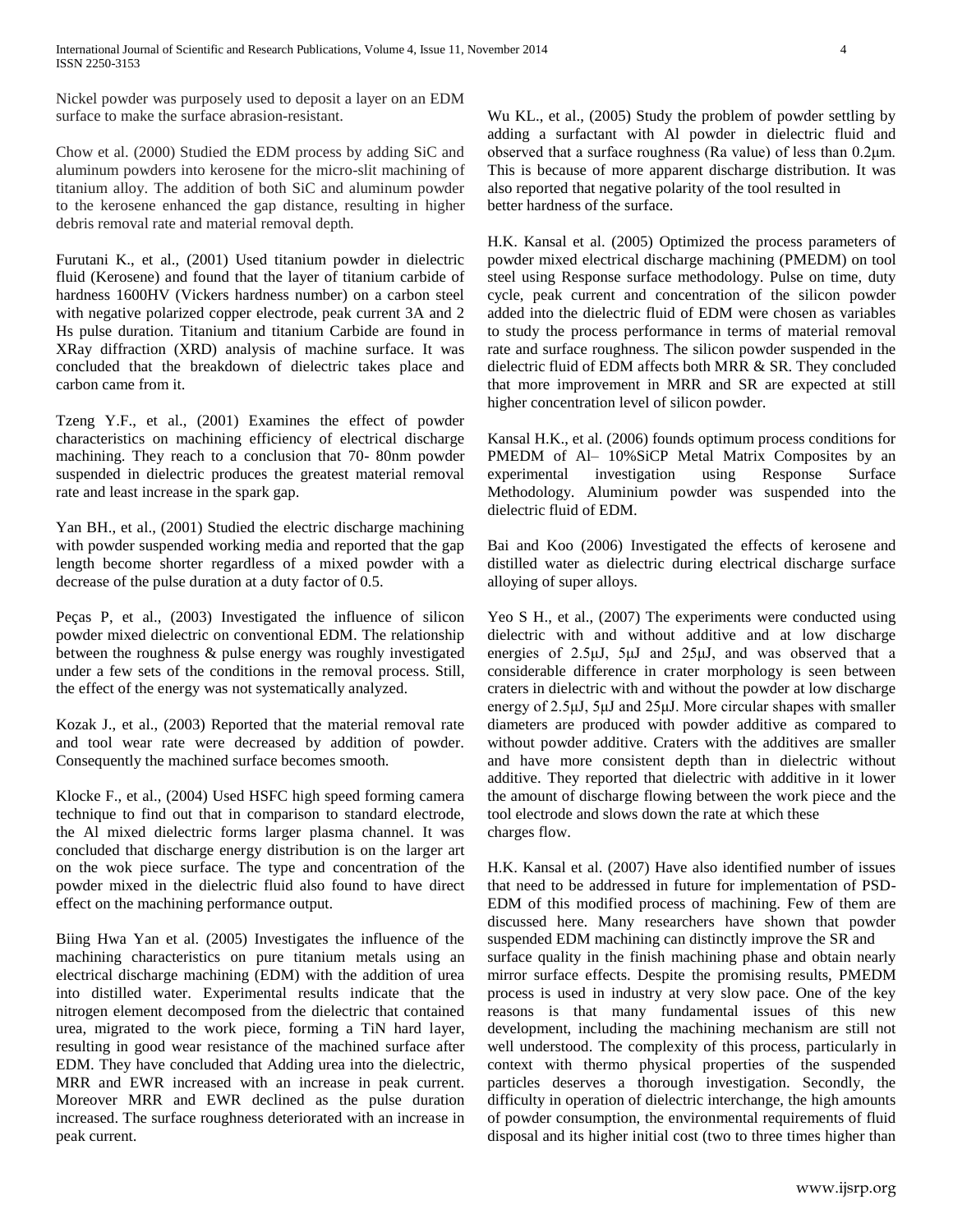Nickel powder was purposely used to deposit a layer on an EDM surface to make the surface abrasion-resistant.

Chow et al. (2000) Studied the EDM process by adding SiC and aluminum powders into kerosene for the micro-slit machining of titanium alloy. The addition of both SiC and aluminum powder to the kerosene enhanced the gap distance, resulting in higher debris removal rate and material removal depth.

Furutani K., et al., (2001) Used titanium powder in dielectric fluid (Kerosene) and found that the layer of titanium carbide of hardness 1600HV (Vickers hardness number) on a carbon steel with negative polarized copper electrode, peak current 3A and 2 Hs pulse duration. Titanium and titanium Carbide are found in XRay diffraction (XRD) analysis of machine surface. It was concluded that the breakdown of dielectric takes place and carbon came from it.

Tzeng Y.F., et al., (2001) Examines the effect of powder characteristics on machining efficiency of electrical discharge machining. They reach to a conclusion that 70- 80nm powder suspended in dielectric produces the greatest material removal rate and least increase in the spark gap.

Yan BH., et al., (2001) Studied the electric discharge machining with powder suspended working media and reported that the gap length become shorter regardless of a mixed powder with a decrease of the pulse duration at a duty factor of 0.5.

Peças P, et al., (2003) Investigated the influence of silicon powder mixed dielectric on conventional EDM. The relationship between the roughness & pulse energy was roughly investigated under a few sets of the conditions in the removal process. Still, the effect of the energy was not systematically analyzed.

Kozak J., et al., (2003) Reported that the material removal rate and tool wear rate were decreased by addition of powder. Consequently the machined surface becomes smooth.

Klocke F., et al., (2004) Used HSFC high speed forming camera technique to find out that in comparison to standard electrode, the Al mixed dielectric forms larger plasma channel. It was concluded that discharge energy distribution is on the larger art on the wok piece surface. The type and concentration of the powder mixed in the dielectric fluid also found to have direct effect on the machining performance output.

Biing Hwa Yan et al. (2005) Investigates the influence of the machining characteristics on pure titanium metals using an electrical discharge machining (EDM) with the addition of urea into distilled water. Experimental results indicate that the nitrogen element decomposed from the dielectric that contained urea, migrated to the work piece, forming a TiN hard layer, resulting in good wear resistance of the machined surface after EDM. They have concluded that Adding urea into the dielectric, MRR and EWR increased with an increase in peak current. Moreover MRR and EWR declined as the pulse duration increased. The surface roughness deteriorated with an increase in peak current.

Wu KL., et al., (2005) Study the problem of powder settling by adding a surfactant with Al powder in dielectric fluid and observed that a surface roughness (Ra value) of less than 0.2μm. This is because of more apparent discharge distribution. It was also reported that negative polarity of the tool resulted in better hardness of the surface.

H.K. Kansal et al. (2005) Optimized the process parameters of powder mixed electrical discharge machining (PMEDM) on tool steel using Response surface methodology. Pulse on time, duty cycle, peak current and concentration of the silicon powder added into the dielectric fluid of EDM were chosen as variables to study the process performance in terms of material removal rate and surface roughness. The silicon powder suspended in the dielectric fluid of EDM affects both MRR & SR. They concluded that more improvement in MRR and SR are expected at still higher concentration level of silicon powder.

Kansal H.K., et al. (2006) founds optimum process conditions for PMEDM of Al- 10%SiCP Metal Matrix Composites by an experimental investigation using Response Surface Methodology. Aluminium powder was suspended into the dielectric fluid of EDM.

Bai and Koo (2006) Investigated the effects of kerosene and distilled water as dielectric during electrical discharge surface alloying of super alloys.

Yeo S H., et al., (2007) The experiments were conducted using dielectric with and without additive and at low discharge energies of 2.5μJ, 5μJ and 25μJ, and was observed that a considerable difference in crater morphology is seen between craters in dielectric with and without the powder at low discharge energy of 2.5μJ, 5μJ and 25μJ. More circular shapes with smaller diameters are produced with powder additive as compared to without powder additive. Craters with the additives are smaller and have more consistent depth than in dielectric without additive. They reported that dielectric with additive in it lower the amount of discharge flowing between the work piece and the tool electrode and slows down the rate at which these charges flow.

H.K. Kansal et al. (2007) Have also identified number of issues that need to be addressed in future for implementation of PSD-EDM of this modified process of machining. Few of them are discussed here. Many researchers have shown that powder suspended EDM machining can distinctly improve the SR and surface quality in the finish machining phase and obtain nearly mirror surface effects. Despite the promising results, PMEDM process is used in industry at very slow pace. One of the key reasons is that many fundamental issues of this new development, including the machining mechanism are still not well understood. The complexity of this process, particularly in context with thermo physical properties of the suspended particles deserves a thorough investigation. Secondly, the difficulty in operation of dielectric interchange, the high amounts of powder consumption, the environmental requirements of fluid disposal and its higher initial cost (two to three times higher than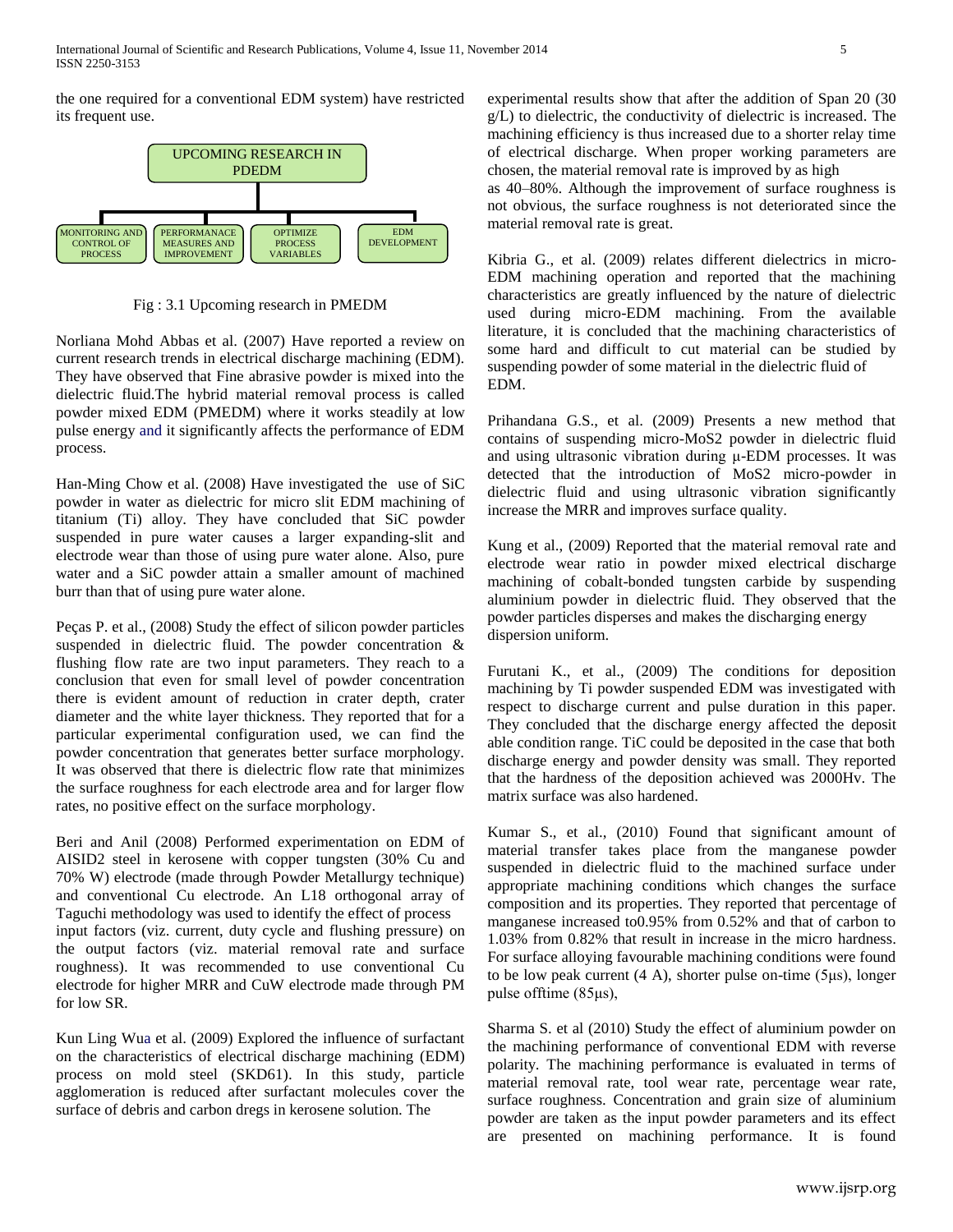the one required for a conventional EDM system) have restricted its frequent use.



Fig : 3.1 Upcoming research in PMEDM

Norliana Mohd Abbas et al. (2007) Have reported a review on current research trends in electrical discharge machining (EDM). They have observed that Fine abrasive powder is mixed into the dielectric fluid.The hybrid material removal process is called powder mixed EDM (PMEDM) where it works steadily at low pulse energy and it significantly affects the performance of EDM process.

Han-Ming Chow et al. (2008) Have investigated the use of SiC powder in water as dielectric for micro slit EDM machining of titanium (Ti) alloy. They have concluded that SiC powder suspended in pure water causes a larger expanding-slit and electrode wear than those of using pure water alone. Also, pure water and a SiC powder attain a smaller amount of machined burr than that of using pure water alone.

Peças P. et al., (2008) Study the effect of silicon powder particles suspended in dielectric fluid. The powder concentration & flushing flow rate are two input parameters. They reach to a conclusion that even for small level of powder concentration there is evident amount of reduction in crater depth, crater diameter and the white layer thickness. They reported that for a particular experimental configuration used, we can find the powder concentration that generates better surface morphology. It was observed that there is dielectric flow rate that minimizes the surface roughness for each electrode area and for larger flow rates, no positive effect on the surface morphology.

Beri and Anil (2008) Performed experimentation on EDM of AISID2 steel in kerosene with copper tungsten (30% Cu and 70% W) electrode (made through Powder Metallurgy technique) and conventional Cu electrode. An L18 orthogonal array of Taguchi methodology was used to identify the effect of process input factors (viz. current, duty cycle and flushing pressure) on the output factors (viz. material removal rate and surface roughness). It was recommended to use conventional Cu electrode for higher MRR and CuW electrode made through PM for low SR.

Kun Ling Wua et al. (2009) Explored the influence of surfactant on the characteristics of electrical discharge machining (EDM) process on mold steel (SKD61). In this study, particle agglomeration is reduced after surfactant molecules cover the surface of debris and carbon dregs in kerosene solution. The

experimental results show that after the addition of Span 20 (30 g/L) to dielectric, the conductivity of dielectric is increased. The machining efficiency is thus increased due to a shorter relay time of electrical discharge. When proper working parameters are chosen, the material removal rate is improved by as high

as 40–80%. Although the improvement of surface roughness is not obvious, the surface roughness is not deteriorated since the material removal rate is great.

Kibria G., et al. (2009) relates different dielectrics in micro-EDM machining operation and reported that the machining characteristics are greatly influenced by the nature of dielectric used during micro-EDM machining. From the available literature, it is concluded that the machining characteristics of some hard and difficult to cut material can be studied by suspending powder of some material in the dielectric fluid of EDM.

Prihandana G.S., et al. (2009) Presents a new method that contains of suspending micro-MoS2 powder in dielectric fluid and using ultrasonic vibration during μ-EDM processes. It was detected that the introduction of MoS2 micro-powder in dielectric fluid and using ultrasonic vibration significantly increase the MRR and improves surface quality.

Kung et al., (2009) Reported that the material removal rate and electrode wear ratio in powder mixed electrical discharge machining of cobalt-bonded tungsten carbide by suspending aluminium powder in dielectric fluid. They observed that the powder particles disperses and makes the discharging energy dispersion uniform.

Furutani K., et al., (2009) The conditions for deposition machining by Ti powder suspended EDM was investigated with respect to discharge current and pulse duration in this paper. They concluded that the discharge energy affected the deposit able condition range. TiC could be deposited in the case that both discharge energy and powder density was small. They reported that the hardness of the deposition achieved was 2000Hv. The matrix surface was also hardened.

Kumar S., et al., (2010) Found that significant amount of material transfer takes place from the manganese powder suspended in dielectric fluid to the machined surface under appropriate machining conditions which changes the surface composition and its properties. They reported that percentage of manganese increased to0.95% from 0.52% and that of carbon to 1.03% from 0.82% that result in increase in the micro hardness. For surface alloying favourable machining conditions were found to be low peak current (4 A), shorter pulse on-time (5μs), longer pulse offtime (85μs),

Sharma S. et al (2010) Study the effect of aluminium powder on the machining performance of conventional EDM with reverse polarity. The machining performance is evaluated in terms of material removal rate, tool wear rate, percentage wear rate, surface roughness. Concentration and grain size of aluminium powder are taken as the input powder parameters and its effect are presented on machining performance. It is found